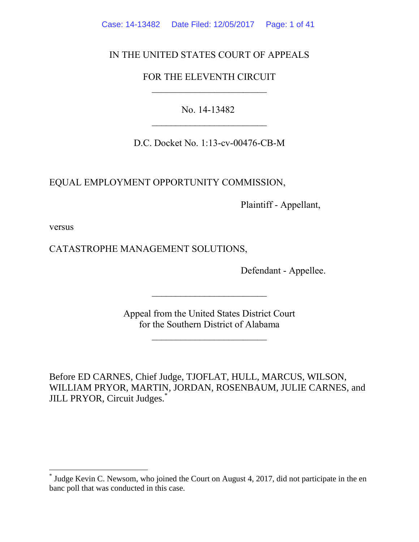Case: 14-13482 Date Filed: 12/05/2017 Page: 1 of 41

# IN THE UNITED STATES COURT OF APPEALS

# FOR THE ELEVENTH CIRCUIT  $\mathcal{L}_\text{max}$

No. 14-13482

D.C. Docket No. 1:13-cv-00476-CB-M

EQUAL EMPLOYMENT OPPORTUNITY COMMISSION,

Plaintiff - Appellant,

versus

 $\overline{a}$ 

CATASTROPHE MANAGEMENT SOLUTIONS,

Defendant - Appellee.

Appeal from the United States District Court for the Southern District of Alabama

 $\mathcal{L}_\text{max}$  , which is a set of the set of the set of the set of the set of the set of the set of the set of the set of the set of the set of the set of the set of the set of the set of the set of the set of the set of

 $\mathcal{L}_\text{max}$  , which is a set of the set of the set of the set of the set of the set of the set of the set of the set of the set of the set of the set of the set of the set of the set of the set of the set of the set of

Before ED CARNES, Chief Judge, TJOFLAT, HULL, MARCUS, WILSON, WILLIAM PRYOR, MARTIN, JORDAN, ROSENBAUM, JULIE CARNES, and JILL PRYOR, Circuit Judges.<sup>\*</sup>

<sup>\*</sup> Judge Kevin C. Newsom, who joined the Court on August 4, 2017, did not participate in the en banc poll that was conducted in this case.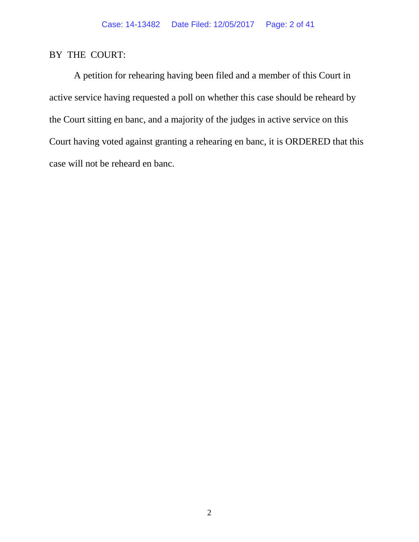# BY THE COURT:

A petition for rehearing having been filed and a member of this Court in active service having requested a poll on whether this case should be reheard by the Court sitting en banc, and a majority of the judges in active service on this Court having voted against granting a rehearing en banc, it is ORDERED that this case will not be reheard en banc.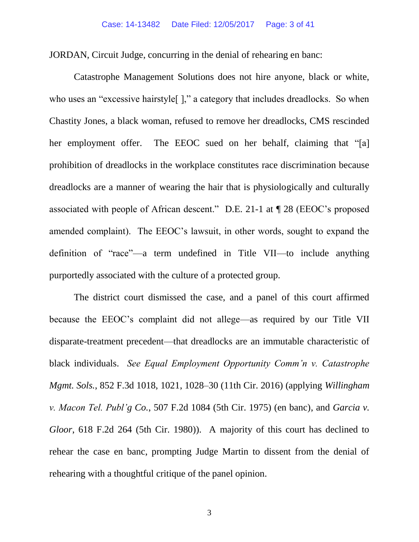JORDAN, Circuit Judge, concurring in the denial of rehearing en banc:

Catastrophe Management Solutions does not hire anyone, black or white, who uses an "excessive hairstyle<sup>[]</sup>," a category that includes dreadlocks. So when Chastity Jones, a black woman, refused to remove her dreadlocks, CMS rescinded her employment offer. The EEOC sued on her behalf, claiming that "[a] prohibition of dreadlocks in the workplace constitutes race discrimination because dreadlocks are a manner of wearing the hair that is physiologically and culturally associated with people of African descent." D.E. 21-1 at ¶ 28 (EEOC's proposed amended complaint). The EEOC's lawsuit, in other words, sought to expand the definition of "race"—a term undefined in Title VII—to include anything purportedly associated with the culture of a protected group.

The district court dismissed the case, and a panel of this court affirmed because the EEOC's complaint did not allege—as required by our Title VII disparate-treatment precedent—that dreadlocks are an immutable characteristic of black individuals. *See Equal Employment Opportunity Comm'n v. Catastrophe Mgmt. Sols.*, 852 F.3d 1018, 1021, 1028–30 (11th Cir. 2016) (applying *Willingham v. Macon Tel. Publ'g Co.*, 507 F.2d 1084 (5th Cir. 1975) (en banc), and *Garcia v. Gloor*, 618 F.2d 264 (5th Cir. 1980)). A majority of this court has declined to rehear the case en banc, prompting Judge Martin to dissent from the denial of rehearing with a thoughtful critique of the panel opinion.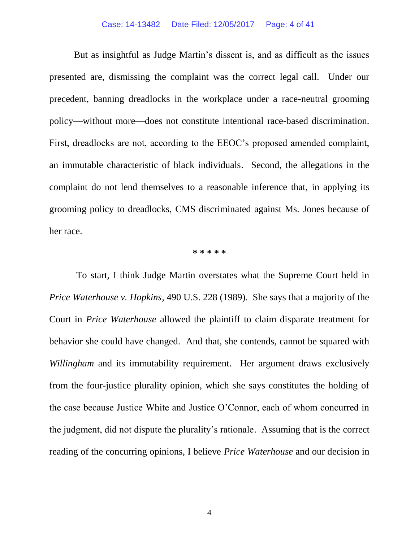But as insightful as Judge Martin's dissent is, and as difficult as the issues presented are, dismissing the complaint was the correct legal call. Under our precedent, banning dreadlocks in the workplace under a race-neutral grooming policy—without more—does not constitute intentional race-based discrimination. First, dreadlocks are not, according to the EEOC's proposed amended complaint, an immutable characteristic of black individuals. Second, the allegations in the complaint do not lend themselves to a reasonable inference that, in applying its grooming policy to dreadlocks, CMS discriminated against Ms. Jones because of her race.

#### **\* \* \* \* \***

To start, I think Judge Martin overstates what the Supreme Court held in *Price Waterhouse v. Hopkins*, 490 U.S. 228 (1989). She says that a majority of the Court in *Price Waterhouse* allowed the plaintiff to claim disparate treatment for behavior she could have changed. And that, she contends, cannot be squared with *Willingham* and its immutability requirement. Her argument draws exclusively from the four-justice plurality opinion, which she says constitutes the holding of the case because Justice White and Justice O'Connor, each of whom concurred in the judgment, did not dispute the plurality's rationale. Assuming that is the correct reading of the concurring opinions, I believe *Price Waterhouse* and our decision in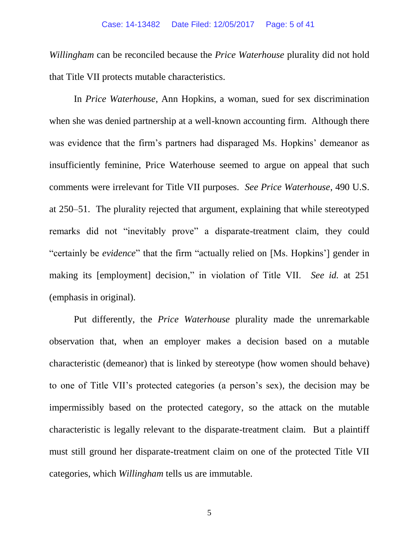*Willingham* can be reconciled because the *Price Waterhouse* plurality did not hold that Title VII protects mutable characteristics.

In *Price Waterhouse*, Ann Hopkins, a woman, sued for sex discrimination when she was denied partnership at a well-known accounting firm. Although there was evidence that the firm's partners had disparaged Ms. Hopkins' demeanor as insufficiently feminine, Price Waterhouse seemed to argue on appeal that such comments were irrelevant for Title VII purposes. *See Price Waterhouse*, 490 U.S. at 250–51. The plurality rejected that argument, explaining that while stereotyped remarks did not "inevitably prove" a disparate-treatment claim, they could "certainly be *evidence*" that the firm "actually relied on [Ms. Hopkins'] gender in making its [employment] decision," in violation of Title VII. *See id.* at 251 (emphasis in original).

Put differently, the *Price Waterhouse* plurality made the unremarkable observation that, when an employer makes a decision based on a mutable characteristic (demeanor) that is linked by stereotype (how women should behave) to one of Title VII's protected categories (a person's sex), the decision may be impermissibly based on the protected category, so the attack on the mutable characteristic is legally relevant to the disparate-treatment claim. But a plaintiff must still ground her disparate-treatment claim on one of the protected Title VII categories, which *Willingham* tells us are immutable.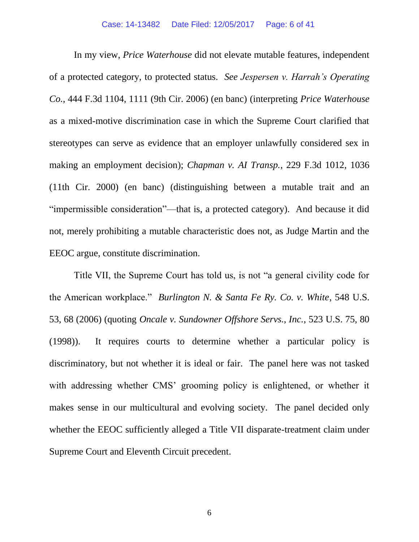In my view, *Price Waterhouse* did not elevate mutable features, independent of a protected category, to protected status. *See Jespersen v. Harrah's Operating Co.*, 444 F.3d 1104, 1111 (9th Cir. 2006) (en banc) (interpreting *Price Waterhouse* as a mixed-motive discrimination case in which the Supreme Court clarified that stereotypes can serve as evidence that an employer unlawfully considered sex in making an employment decision); *Chapman v. AI Transp.*, 229 F.3d 1012, 1036 (11th Cir. 2000) (en banc) (distinguishing between a mutable trait and an "impermissible consideration"—that is, a protected category). And because it did not, merely prohibiting a mutable characteristic does not, as Judge Martin and the EEOC argue, constitute discrimination.

Title VII, the Supreme Court has told us, is not "a general civility code for the American workplace." *Burlington N. & Santa Fe Ry. Co. v. White*, 548 U.S. 53, 68 (2006) (quoting *Oncale v. Sundowner Offshore Servs., Inc.*, 523 U.S. 75, 80 (1998)). It requires courts to determine whether a particular policy is discriminatory, but not whether it is ideal or fair. The panel here was not tasked with addressing whether CMS' grooming policy is enlightened, or whether it makes sense in our multicultural and evolving society. The panel decided only whether the EEOC sufficiently alleged a Title VII disparate-treatment claim under Supreme Court and Eleventh Circuit precedent.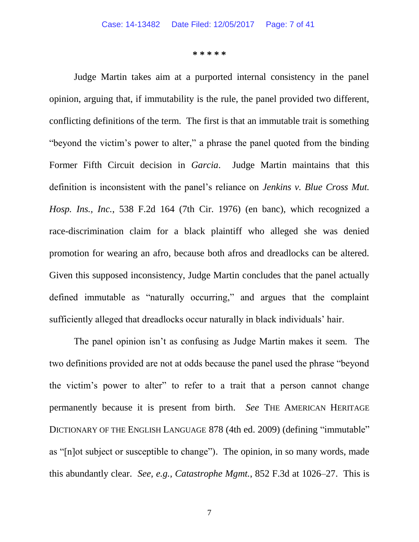**\* \* \* \* \***

Judge Martin takes aim at a purported internal consistency in the panel opinion, arguing that, if immutability is the rule, the panel provided two different, conflicting definitions of the term. The first is that an immutable trait is something "beyond the victim's power to alter," a phrase the panel quoted from the binding Former Fifth Circuit decision in *Garcia*. Judge Martin maintains that this definition is inconsistent with the panel's reliance on *Jenkins v. Blue Cross Mut. Hosp. Ins., Inc.*, 538 F.2d 164 (7th Cir. 1976) (en banc), which recognized a race-discrimination claim for a black plaintiff who alleged she was denied promotion for wearing an afro, because both afros and dreadlocks can be altered. Given this supposed inconsistency, Judge Martin concludes that the panel actually defined immutable as "naturally occurring," and argues that the complaint sufficiently alleged that dreadlocks occur naturally in black individuals' hair.

The panel opinion isn't as confusing as Judge Martin makes it seem. The two definitions provided are not at odds because the panel used the phrase "beyond the victim's power to alter" to refer to a trait that a person cannot change permanently because it is present from birth. *See* THE AMERICAN HERITAGE DICTIONARY OF THE ENGLISH LANGUAGE 878 (4th ed. 2009) (defining "immutable" as "[n]ot subject or susceptible to change"). The opinion, in so many words, made this abundantly clear. *See, e.g., Catastrophe Mgmt.*, 852 F.3d at 1026–27. This is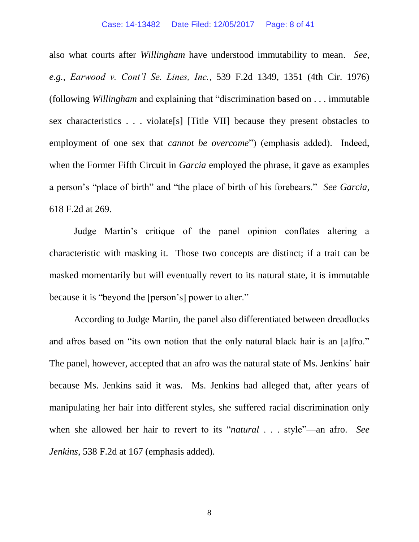also what courts after *Willingham* have understood immutability to mean. *See, e.g., Earwood v. Cont'l Se. Lines, Inc.*, 539 F.2d 1349, 1351 (4th Cir. 1976) (following *Willingham* and explaining that "discrimination based on . . . immutable sex characteristics . . . violate[s] [Title VII] because they present obstacles to employment of one sex that *cannot be overcome*") (emphasis added). Indeed, when the Former Fifth Circuit in *Garcia* employed the phrase, it gave as examples a person's "place of birth" and "the place of birth of his forebears." *See Garcia*, 618 F.2d at 269.

Judge Martin's critique of the panel opinion conflates altering a characteristic with masking it. Those two concepts are distinct; if a trait can be masked momentarily but will eventually revert to its natural state, it is immutable because it is "beyond the [person's] power to alter."

According to Judge Martin, the panel also differentiated between dreadlocks and afros based on "its own notion that the only natural black hair is an [a]fro." The panel, however, accepted that an afro was the natural state of Ms. Jenkins' hair because Ms. Jenkins said it was. Ms. Jenkins had alleged that, after years of manipulating her hair into different styles, she suffered racial discrimination only when she allowed her hair to revert to its "*natural* . . . style"—an afro. *See Jenkins*, 538 F.2d at 167 (emphasis added).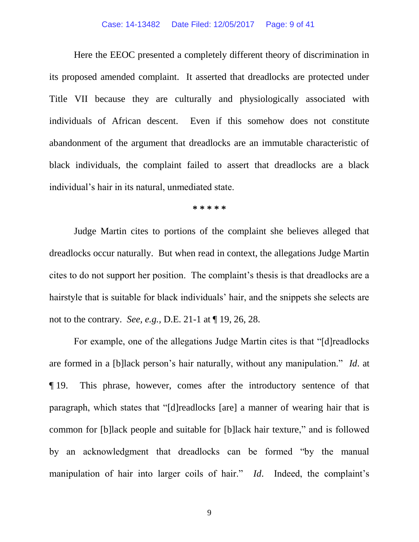#### Case: 14-13482 Date Filed: 12/05/2017 Page: 9 of 41

Here the EEOC presented a completely different theory of discrimination in its proposed amended complaint. It asserted that dreadlocks are protected under Title VII because they are culturally and physiologically associated with individuals of African descent. Even if this somehow does not constitute abandonment of the argument that dreadlocks are an immutable characteristic of black individuals, the complaint failed to assert that dreadlocks are a black individual's hair in its natural, unmediated state.

#### **\* \* \* \* \***

Judge Martin cites to portions of the complaint she believes alleged that dreadlocks occur naturally. But when read in context, the allegations Judge Martin cites to do not support her position. The complaint's thesis is that dreadlocks are a hairstyle that is suitable for black individuals' hair, and the snippets she selects are not to the contrary. *See, e.g.,* D.E. 21-1 at ¶ 19, 26, 28.

For example, one of the allegations Judge Martin cites is that "[d]readlocks are formed in a [b]lack person's hair naturally, without any manipulation." *Id*. at ¶ 19. This phrase, however, comes after the introductory sentence of that paragraph, which states that "[d]readlocks [are] a manner of wearing hair that is common for [b]lack people and suitable for [b]lack hair texture," and is followed by an acknowledgment that dreadlocks can be formed "by the manual manipulation of hair into larger coils of hair." *Id*. Indeed, the complaint's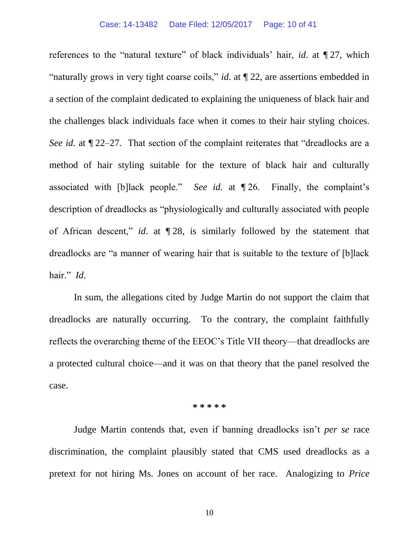#### Case: 14-13482 Date Filed: 12/05/2017 Page: 10 of 41

references to the "natural texture" of black individuals' hair, *id*. at ¶ 27, which "naturally grows in very tight coarse coils," *id*. at ¶ 22, are assertions embedded in a section of the complaint dedicated to explaining the uniqueness of black hair and the challenges black individuals face when it comes to their hair styling choices. *See id.* at  $\mathbb{Z}2-27$ . That section of the complaint reiterates that "dreadlocks are a method of hair styling suitable for the texture of black hair and culturally associated with [b]lack people." *See id.* at ¶ 26. Finally, the complaint's description of dreadlocks as "physiologically and culturally associated with people of African descent," *id*. at ¶ 28, is similarly followed by the statement that dreadlocks are "a manner of wearing hair that is suitable to the texture of [b]lack hair." *Id*.

In sum, the allegations cited by Judge Martin do not support the claim that dreadlocks are naturally occurring. To the contrary, the complaint faithfully reflects the overarching theme of the EEOC's Title VII theory—that dreadlocks are a protected cultural choice—and it was on that theory that the panel resolved the case.

#### **\* \* \* \* \***

Judge Martin contends that, even if banning dreadlocks isn't *per se* race discrimination, the complaint plausibly stated that CMS used dreadlocks as a pretext for not hiring Ms. Jones on account of her race. Analogizing to *Price*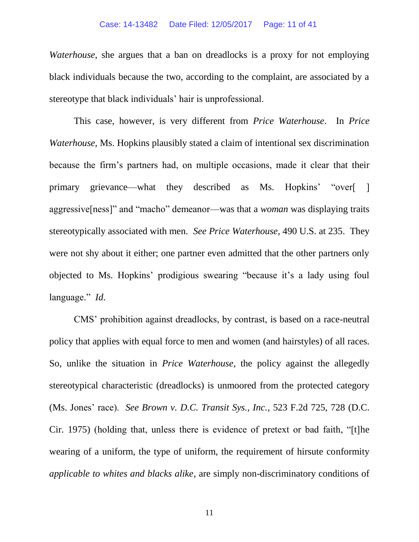#### Case: 14-13482 Date Filed: 12/05/2017 Page: 11 of 41

*Waterhouse*, she argues that a ban on dreadlocks is a proxy for not employing black individuals because the two, according to the complaint, are associated by a stereotype that black individuals' hair is unprofessional.

This case, however, is very different from *Price Waterhouse*. In *Price Waterhouse*, Ms. Hopkins plausibly stated a claim of intentional sex discrimination because the firm's partners had, on multiple occasions, made it clear that their primary grievance—what they described as Ms. Hopkins' "over[ ] aggressive[ness]" and "macho" demeanor—was that a *woman* was displaying traits stereotypically associated with men. *See Price Waterhouse*, 490 U.S. at 235. They were not shy about it either; one partner even admitted that the other partners only objected to Ms. Hopkins' prodigious swearing "because it's a lady using foul language." *Id*.

CMS' prohibition against dreadlocks, by contrast, is based on a race-neutral policy that applies with equal force to men and women (and hairstyles) of all races. So, unlike the situation in *Price Waterhouse*, the policy against the allegedly stereotypical characteristic (dreadlocks) is unmoored from the protected category (Ms. Jones' race). *See Brown v. D.C. Transit Sys., Inc.*, 523 F.2d 725, 728 (D.C. Cir. 1975) (holding that, unless there is evidence of pretext or bad faith, "[t]he wearing of a uniform, the type of uniform, the requirement of hirsute conformity *applicable to whites and blacks alike*, are simply non-discriminatory conditions of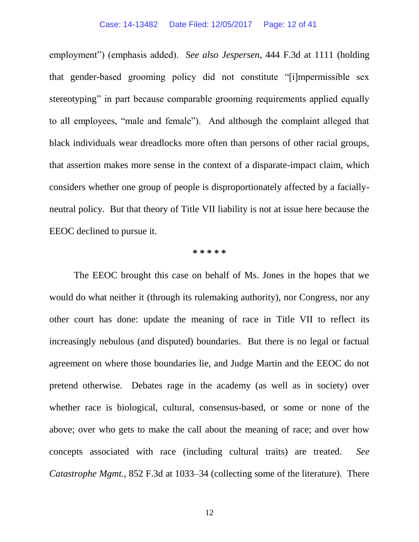employment") (emphasis added). *See also Jespersen*, 444 F.3d at 1111 (holding that gender-based grooming policy did not constitute "[i]mpermissible sex stereotyping" in part because comparable grooming requirements applied equally to all employees, "male and female"). And although the complaint alleged that black individuals wear dreadlocks more often than persons of other racial groups, that assertion makes more sense in the context of a disparate-impact claim, which considers whether one group of people is disproportionately affected by a faciallyneutral policy. But that theory of Title VII liability is not at issue here because the EEOC declined to pursue it.

#### **\* \* \* \* \***

The EEOC brought this case on behalf of Ms. Jones in the hopes that we would do what neither it (through its rulemaking authority), nor Congress, nor any other court has done: update the meaning of race in Title VII to reflect its increasingly nebulous (and disputed) boundaries. But there is no legal or factual agreement on where those boundaries lie, and Judge Martin and the EEOC do not pretend otherwise. Debates rage in the academy (as well as in society) over whether race is biological, cultural, consensus-based, or some or none of the above; over who gets to make the call about the meaning of race; and over how concepts associated with race (including cultural traits) are treated. *See Catastrophe Mgmt.*, 852 F.3d at 1033–34 (collecting some of the literature). There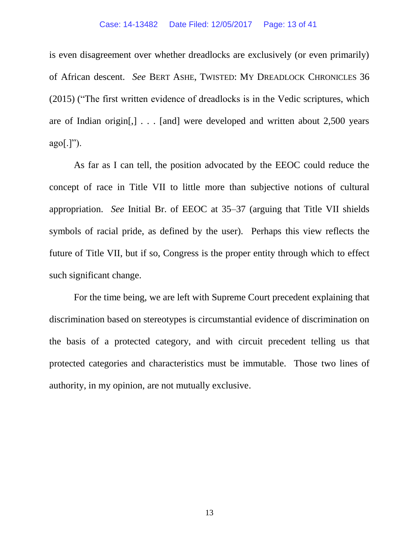#### Case: 14-13482 Date Filed: 12/05/2017 Page: 13 of 41

is even disagreement over whether dreadlocks are exclusively (or even primarily) of African descent. *See* BERT ASHE, TWISTED: MY DREADLOCK CHRONICLES 36 (2015) ("The first written evidence of dreadlocks is in the Vedic scriptures, which are of Indian origin[,] . . . [and] were developed and written about 2,500 years  $ago[.]$ ").

As far as I can tell, the position advocated by the EEOC could reduce the concept of race in Title VII to little more than subjective notions of cultural appropriation. *See* Initial Br. of EEOC at 35–37 (arguing that Title VII shields symbols of racial pride, as defined by the user). Perhaps this view reflects the future of Title VII, but if so, Congress is the proper entity through which to effect such significant change.

For the time being, we are left with Supreme Court precedent explaining that discrimination based on stereotypes is circumstantial evidence of discrimination on the basis of a protected category, and with circuit precedent telling us that protected categories and characteristics must be immutable. Those two lines of authority, in my opinion, are not mutually exclusive.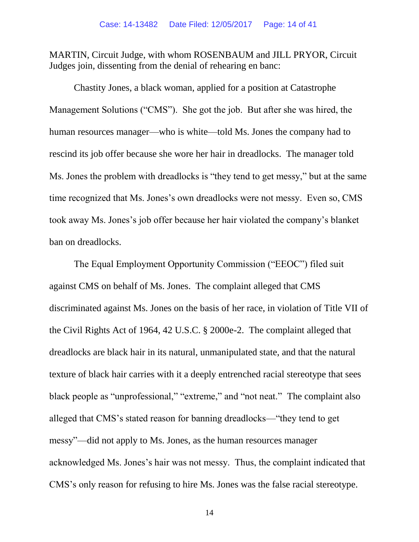MARTIN, Circuit Judge, with whom ROSENBAUM and JILL PRYOR, Circuit Judges join, dissenting from the denial of rehearing en banc:

Chastity Jones, a black woman, applied for a position at Catastrophe Management Solutions ("CMS"). She got the job. But after she was hired, the human resources manager—who is white—told Ms. Jones the company had to rescind its job offer because she wore her hair in dreadlocks. The manager told Ms. Jones the problem with dreadlocks is "they tend to get messy," but at the same time recognized that Ms. Jones's own dreadlocks were not messy. Even so, CMS took away Ms. Jones's job offer because her hair violated the company's blanket ban on dreadlocks.

The Equal Employment Opportunity Commission ("EEOC") filed suit against CMS on behalf of Ms. Jones. The complaint alleged that CMS discriminated against Ms. Jones on the basis of her race, in violation of Title VII of the Civil Rights Act of 1964, 42 U.S.C. § 2000e-2. The complaint alleged that dreadlocks are black hair in its natural, unmanipulated state, and that the natural texture of black hair carries with it a deeply entrenched racial stereotype that sees black people as "unprofessional," "extreme," and "not neat."The complaint also alleged that CMS's stated reason for banning dreadlocks—"they tend to get messy"—did not apply to Ms. Jones, as the human resources manager acknowledged Ms. Jones's hair was not messy. Thus, the complaint indicated that CMS's only reason for refusing to hire Ms. Jones was the false racial stereotype.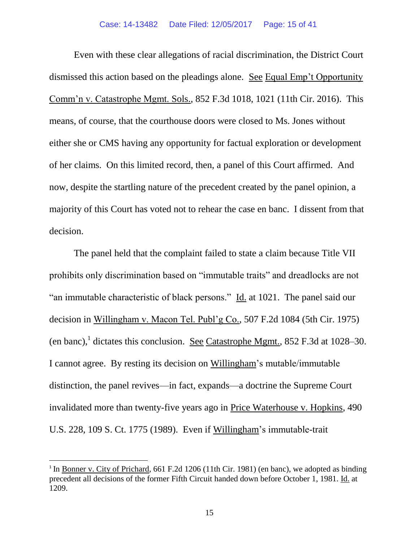Even with these clear allegations of racial discrimination, the District Court dismissed this action based on the pleadings alone. See Equal Emp't Opportunity Comm'n v. Catastrophe Mgmt. Sols., 852 F.3d 1018, 1021 (11th Cir. 2016). This means, of course, that the courthouse doors were closed to Ms. Jones without either she or CMS having any opportunity for factual exploration or development of her claims. On this limited record, then, a panel of this Court affirmed. And now, despite the startling nature of the precedent created by the panel opinion, a majority of this Court has voted not to rehear the case en banc. I dissent from that decision.

The panel held that the complaint failed to state a claim because Title VII prohibits only discrimination based on "immutable traits" and dreadlocks are not "an immutable characteristic of black persons." Id. at 1021. The panel said our decision in Willingham v. Macon Tel. Publ'g Co., 507 F.2d 1084 (5th Cir. 1975) (en banc),<sup>1</sup> dictates this conclusion. <u>See Catastrophe Mgmt.</u>, 852 F.3d at 1028–30. I cannot agree. By resting its decision on Willingham's mutable/immutable distinction, the panel revives—in fact, expands—a doctrine the Supreme Court invalidated more than twenty-five years ago in Price Waterhouse v. Hopkins, 490 U.S. 228, 109 S. Ct. 1775 (1989). Even if Willingham's immutable-trait

 $\overline{a}$ 

<sup>&</sup>lt;sup>1</sup> In <u>Bonner v. City of Prichard</u>, 661 F.2d 1206 (11th Cir. 1981) (en banc), we adopted as binding precedent all decisions of the former Fifth Circuit handed down before October 1, 1981. Id. at 1209.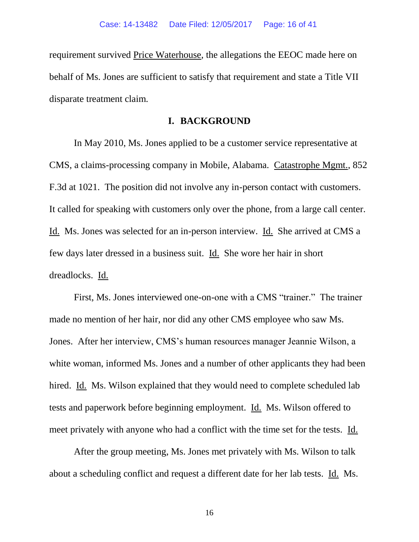requirement survived Price Waterhouse, the allegations the EEOC made here on behalf of Ms. Jones are sufficient to satisfy that requirement and state a Title VII disparate treatment claim.

## **I. BACKGROUND**

In May 2010, Ms. Jones applied to be a customer service representative at CMS, a claims-processing company in Mobile, Alabama. Catastrophe Mgmt., 852 F.3d at 1021. The position did not involve any in-person contact with customers. It called for speaking with customers only over the phone, from a large call center. Id. Ms. Jones was selected for an in-person interview. Id. She arrived at CMS a few days later dressed in a business suit. Id. She wore her hair in short dreadlocks. Id.

First, Ms. Jones interviewed one-on-one with a CMS "trainer." The trainer made no mention of her hair, nor did any other CMS employee who saw Ms. Jones. After her interview, CMS's human resources manager Jeannie Wilson, a white woman, informed Ms. Jones and a number of other applicants they had been hired. Id. Ms. Wilson explained that they would need to complete scheduled lab tests and paperwork before beginning employment. Id. Ms. Wilson offered to meet privately with anyone who had a conflict with the time set for the tests. Id.

After the group meeting, Ms. Jones met privately with Ms. Wilson to talk about a scheduling conflict and request a different date for her lab tests. Id. Ms.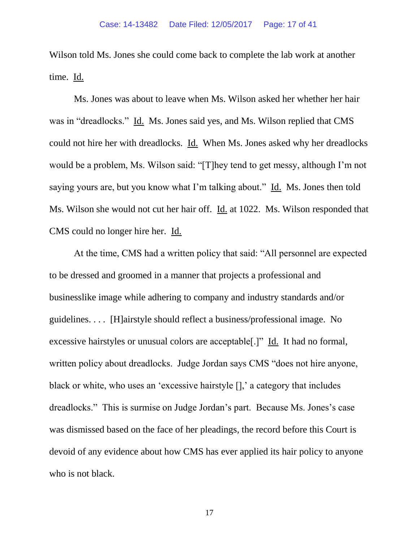Wilson told Ms. Jones she could come back to complete the lab work at another time. Id.

Ms. Jones was about to leave when Ms. Wilson asked her whether her hair was in "dreadlocks." Id. Ms. Jones said yes, and Ms. Wilson replied that CMS could not hire her with dreadlocks. Id.When Ms. Jones asked why her dreadlocks would be a problem, Ms. Wilson said: "[T]hey tend to get messy, although I'm not saying yours are, but you know what I'm talking about." Id. Ms. Jones then told Ms. Wilson she would not cut her hair off. **Id.** at 1022. Ms. Wilson responded that CMS could no longer hire her. Id.

At the time, CMS had a written policy that said: "All personnel are expected to be dressed and groomed in a manner that projects a professional and businesslike image while adhering to company and industry standards and/or guidelines. . . . [H]airstyle should reflect a business/professional image. No excessive hairstyles or unusual colors are acceptable[.]" Id. It had no formal, written policy about dreadlocks. Judge Jordan says CMS "does not hire anyone, black or white, who uses an 'excessive hairstyle [],' a category that includes dreadlocks." This is surmise on Judge Jordan's part. Because Ms. Jones's case was dismissed based on the face of her pleadings, the record before this Court is devoid of any evidence about how CMS has ever applied its hair policy to anyone who is not black.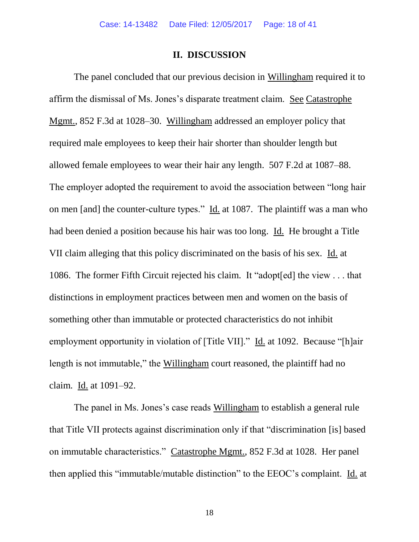## **II. DISCUSSION**

The panel concluded that our previous decision in Willingham required it to affirm the dismissal of Ms. Jones's disparate treatment claim. See Catastrophe Mgmt., 852 F.3d at 1028–30. Willingham addressed an employer policy that required male employees to keep their hair shorter than shoulder length but allowed female employees to wear their hair any length. 507 F.2d at 1087–88. The employer adopted the requirement to avoid the association between "long hair on men [and] the counter-culture types." Id. at 1087. The plaintiff was a man who had been denied a position because his hair was too long. Id. He brought a Title VII claim alleging that this policy discriminated on the basis of his sex. Id. at 1086. The former Fifth Circuit rejected his claim. It "adopt[ed] the view . . . that distinctions in employment practices between men and women on the basis of something other than immutable or protected characteristics do not inhibit employment opportunity in violation of [Title VII]." Id. at 1092. Because "[h]air length is not immutable," the Willingham court reasoned, the plaintiff had no claim. Id. at 1091–92.

The panel in Ms. Jones's case reads Willingham to establish a general rule that Title VII protects against discrimination only if that "discrimination [is] based on immutable characteristics." Catastrophe Mgmt., 852 F.3d at 1028. Her panel then applied this "immutable/mutable distinction" to the EEOC's complaint. Id. at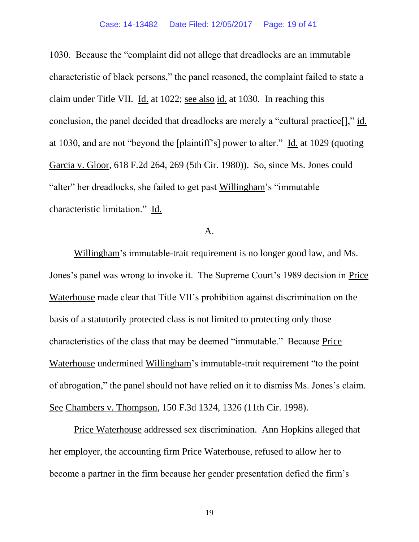1030. Because the "complaint did not allege that dreadlocks are an immutable characteristic of black persons," the panel reasoned, the complaint failed to state a claim under Title VII. Id. at 1022; see also id. at 1030. In reaching this conclusion, the panel decided that dreadlocks are merely a "cultural practice[]," id. at 1030, and are not "beyond the [plaintiff's] power to alter." Id. at 1029 (quoting Garcia v. Gloor, 618 F.2d 264, 269 (5th Cir. 1980)). So, since Ms. Jones could "alter" her dreadlocks, she failed to get past Willingham's "immutable characteristic limitation." Id.

## A.

Willingham's immutable-trait requirement is no longer good law, and Ms. Jones's panel was wrong to invoke it. The Supreme Court's 1989 decision in Price Waterhouse made clear that Title VII's prohibition against discrimination on the basis of a statutorily protected class is not limited to protecting only those characteristics of the class that may be deemed "immutable." Because Price Waterhouse undermined Willingham's immutable-trait requirement "to the point of abrogation," the panel should not have relied on it to dismiss Ms. Jones's claim. See Chambers v. Thompson, 150 F.3d 1324, 1326 (11th Cir. 1998).

Price Waterhouse addressed sex discrimination. Ann Hopkins alleged that her employer, the accounting firm Price Waterhouse, refused to allow her to become a partner in the firm because her gender presentation defied the firm's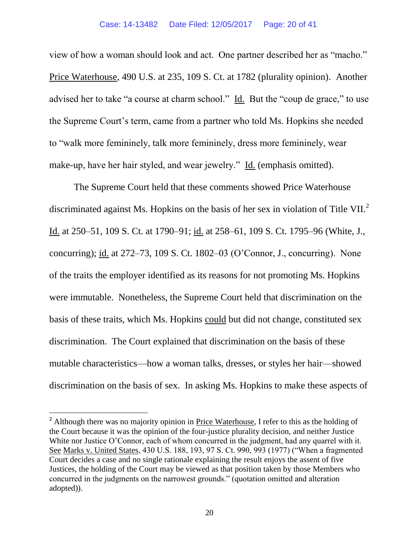view of how a woman should look and act. One partner described her as "macho." Price Waterhouse, 490 U.S. at 235, 109 S. Ct. at 1782 (plurality opinion). Another advised her to take "a course at charm school." Id. But the "coup de grace," to use the Supreme Court's term, came from a partner who told Ms. Hopkins she needed to "walk more femininely, talk more femininely, dress more femininely, wear make-up, have her hair styled, and wear jewelry." Id. (emphasis omitted).

The Supreme Court held that these comments showed Price Waterhouse discriminated against Ms. Hopkins on the basis of her sex in violation of Title VII.<sup>2</sup> Id. at 250–51, 109 S. Ct. at 1790–91; id. at 258–61, 109 S. Ct. 1795–96 (White, J., concurring); id. at 272–73, 109 S. Ct. 1802–03 (O'Connor, J., concurring). None of the traits the employer identified as its reasons for not promoting Ms. Hopkins were immutable. Nonetheless, the Supreme Court held that discrimination on the basis of these traits, which Ms. Hopkins could but did not change, constituted sex discrimination. The Court explained that discrimination on the basis of these mutable characteristics—how a woman talks, dresses, or styles her hair—showed discrimination on the basis of sex. In asking Ms. Hopkins to make these aspects of

 $\overline{a}$ 

<sup>&</sup>lt;sup>2</sup> Although there was no majority opinion in **Price Waterhouse**, I refer to this as the holding of the Court because it was the opinion of the four-justice plurality decision, and neither Justice White nor Justice O'Connor, each of whom concurred in the judgment, had any quarrel with it. See Marks v. United States, 430 U.S. 188, 193, 97 S. Ct. 990, 993 (1977) ("When a fragmented Court decides a case and no single rationale explaining the result enjoys the assent of five Justices, the holding of the Court may be viewed as that position taken by those Members who concurred in the judgments on the narrowest grounds." (quotation omitted and alteration adopted)).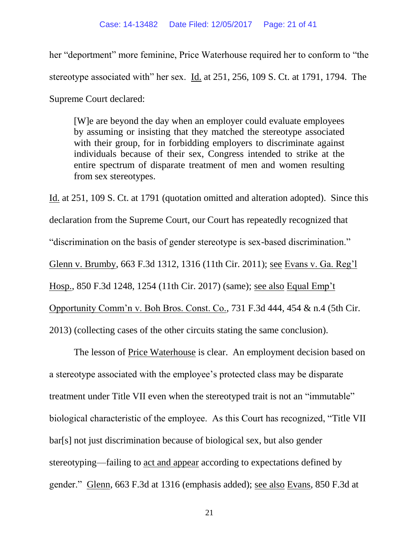her "deportment" more feminine, Price Waterhouse required her to conform to "the stereotype associated with" her sex. Id. at 251, 256, 109 S. Ct. at 1791, 1794. The Supreme Court declared:

[W]e are beyond the day when an employer could evaluate employees by assuming or insisting that they matched the stereotype associated with their group, for in forbidding employers to discriminate against individuals because of their sex, Congress intended to strike at the entire spectrum of disparate treatment of men and women resulting from sex stereotypes.

Id. at 251, 109 S. Ct. at 1791 (quotation omitted and alteration adopted). Since this declaration from the Supreme Court, our Court has repeatedly recognized that "discrimination on the basis of gender stereotype is sex-based discrimination." Glenn v. Brumby, 663 F.3d 1312, 1316 (11th Cir. 2011); see Evans v. Ga. Reg'l Hosp., 850 F.3d 1248, 1254 (11th Cir. 2017) (same); see also Equal Emp't Opportunity Comm'n v. Boh Bros. Const. Co., 731 F.3d 444, 454 & n.4 (5th Cir. 2013) (collecting cases of the other circuits stating the same conclusion).

The lesson of Price Waterhouse is clear. An employment decision based on a stereotype associated with the employee's protected class may be disparate treatment under Title VII even when the stereotyped trait is not an "immutable" biological characteristic of the employee. As this Court has recognized, "Title VII bar[s] not just discrimination because of biological sex, but also gender stereotyping—failing to act and appear according to expectations defined by gender." Glenn, 663 F.3d at 1316 (emphasis added); see also Evans, 850 F.3d at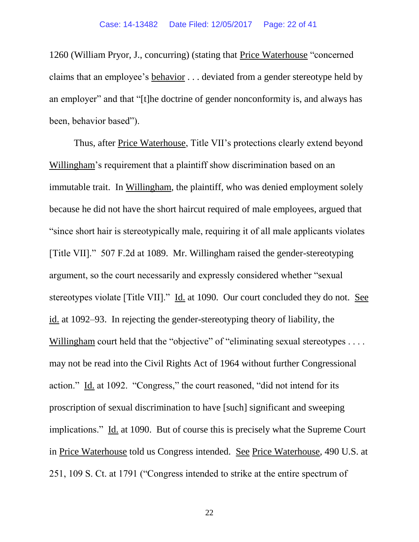1260 (William Pryor, J., concurring) (stating that Price Waterhouse "concerned claims that an employee's behavior . . . deviated from a gender stereotype held by an employer" and that "[t]he doctrine of gender nonconformity is, and always has been, behavior based").

Thus, after Price Waterhouse, Title VII's protections clearly extend beyond Willingham's requirement that a plaintiff show discrimination based on an immutable trait. In Willingham, the plaintiff, who was denied employment solely because he did not have the short haircut required of male employees, argued that "since short hair is stereotypically male, requiring it of all male applicants violates [Title VII]." 507 F.2d at 1089. Mr. Willingham raised the gender-stereotyping argument, so the court necessarily and expressly considered whether "sexual stereotypes violate [Title VII]." Id. at 1090. Our court concluded they do not. See id. at 1092–93. In rejecting the gender-stereotyping theory of liability, the Willingham court held that the "objective" of "eliminating sexual stereotypes . . . . may not be read into the Civil Rights Act of 1964 without further Congressional action." Id. at 1092. "Congress," the court reasoned, "did not intend for its proscription of sexual discrimination to have [such] significant and sweeping implications." Id. at 1090. But of course this is precisely what the Supreme Court in Price Waterhouse told us Congress intended. See Price Waterhouse, 490 U.S. at 251, 109 S. Ct. at 1791 ("Congress intended to strike at the entire spectrum of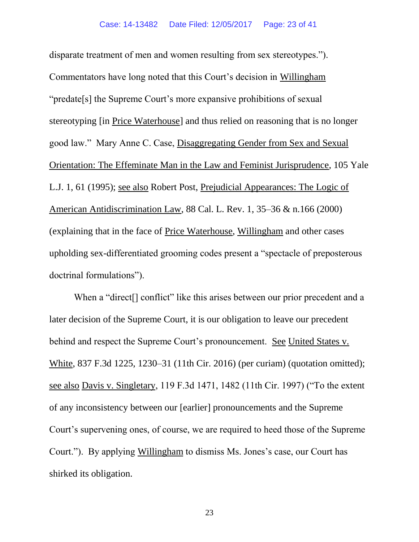disparate treatment of men and women resulting from sex stereotypes."). Commentators have long noted that this Court's decision in Willingham "predate[s] the Supreme Court's more expansive prohibitions of sexual stereotyping [in Price Waterhouse] and thus relied on reasoning that is no longer good law." Mary Anne C. Case, Disaggregating Gender from Sex and Sexual Orientation: The Effeminate Man in the Law and Feminist Jurisprudence, 105 Yale L.J. 1, 61 (1995); see also Robert Post, Prejudicial Appearances: The Logic of American Antidiscrimination Law, 88 Cal. L. Rev. 1, 35–36 & n.166 (2000) (explaining that in the face of Price Waterhouse, Willingham and other cases upholding sex-differentiated grooming codes present a "spectacle of preposterous doctrinal formulations").

When a "direct<sup>[]</sup> conflict" like this arises between our prior precedent and a later decision of the Supreme Court, it is our obligation to leave our precedent behind and respect the Supreme Court's pronouncement. See United States v. White, 837 F.3d 1225, 1230–31 (11th Cir. 2016) (per curiam) (quotation omitted); see also Davis v. Singletary, 119 F.3d 1471, 1482 (11th Cir. 1997) ("To the extent of any inconsistency between our [earlier] pronouncements and the Supreme Court's supervening ones, of course, we are required to heed those of the Supreme Court."). By applying Willingham to dismiss Ms. Jones's case, our Court has shirked its obligation.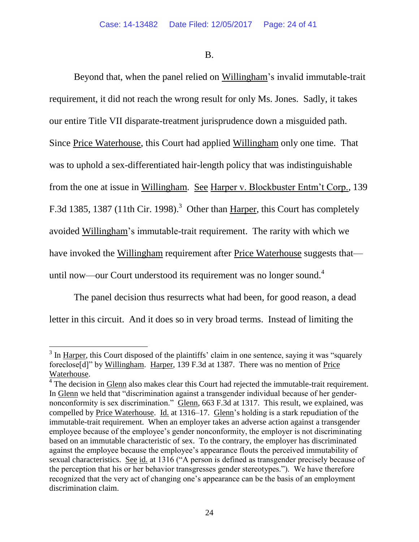B.

Beyond that, when the panel relied on Willingham's invalid immutable-trait requirement, it did not reach the wrong result for only Ms. Jones. Sadly, it takes our entire Title VII disparate-treatment jurisprudence down a misguided path. Since Price Waterhouse, this Court had applied Willingham only one time. That was to uphold a sex-differentiated hair-length policy that was indistinguishable from the one at issue in Willingham. See Harper v. Blockbuster Entm't Corp., 139 F.3d 1385, 1387 (11th Cir. 1998).<sup>3</sup> Other than  $\overline{\text{Harper}}$ , this Court has completely avoided Willingham's immutable-trait requirement. The rarity with which we have invoked the Willingham requirement after Price Waterhouse suggests that until now—our Court understood its requirement was no longer sound.<sup>4</sup>

The panel decision thus resurrects what had been, for good reason, a dead letter in this circuit. And it does so in very broad terms. Instead of limiting the

 $\overline{a}$ 

 $3$  In Harper, this Court disposed of the plaintiffs' claim in one sentence, saying it was "squarely" foreclose[d]" by Willingham. Harper, 139 F.3d at 1387. There was no mention of Price Waterhouse.

<sup>&</sup>lt;sup>4</sup> The decision in Glenn also makes clear this Court had rejected the immutable-trait requirement. In Glenn we held that "discrimination against a transgender individual because of her gendernonconformity is sex discrimination." Glenn, 663 F.3d at 1317. This result, we explained, was compelled by Price Waterhouse. Id. at 1316–17. Glenn's holding is a stark repudiation of the immutable-trait requirement. When an employer takes an adverse action against a transgender employee because of the employee's gender nonconformity, the employer is not discriminating based on an immutable characteristic of sex. To the contrary, the employer has discriminated against the employee because the employee's appearance flouts the perceived immutability of sexual characteristics. See id. at 1316 ("A person is defined as transgender precisely because of the perception that his or her behavior transgresses gender stereotypes."). We have therefore recognized that the very act of changing one's appearance can be the basis of an employment discrimination claim.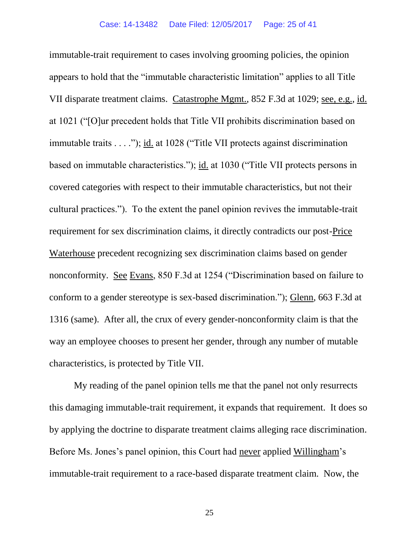immutable-trait requirement to cases involving grooming policies, the opinion appears to hold that the "immutable characteristic limitation" applies to all Title VII disparate treatment claims. Catastrophe Mgmt., 852 F.3d at 1029; see, e.g., id. at 1021 ("[O]ur precedent holds that Title VII prohibits discrimination based on immutable traits . . . ."); id. at 1028 ("Title VII protects against discrimination based on immutable characteristics."); id. at 1030 ("Title VII protects persons in covered categories with respect to their immutable characteristics, but not their cultural practices."). To the extent the panel opinion revives the immutable-trait requirement for sex discrimination claims, it directly contradicts our post-Price Waterhouse precedent recognizing sex discrimination claims based on gender nonconformity. See Evans, 850 F.3d at 1254 ("Discrimination based on failure to conform to a gender stereotype is sex-based discrimination."); Glenn, 663 F.3d at 1316 (same). After all, the crux of every gender-nonconformity claim is that the way an employee chooses to present her gender, through any number of mutable characteristics, is protected by Title VII.

My reading of the panel opinion tells me that the panel not only resurrects this damaging immutable-trait requirement, it expands that requirement. It does so by applying the doctrine to disparate treatment claims alleging race discrimination. Before Ms. Jones's panel opinion, this Court had never applied Willingham's immutable-trait requirement to a race-based disparate treatment claim. Now, the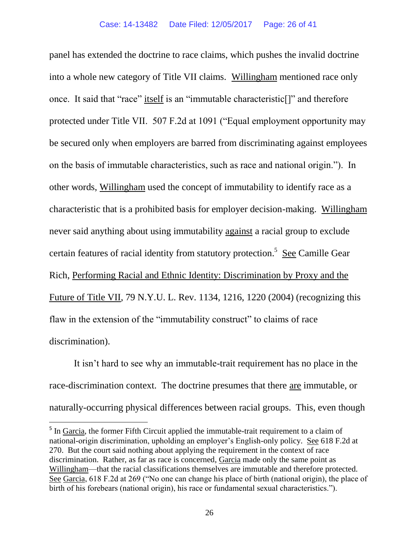panel has extended the doctrine to race claims, which pushes the invalid doctrine into a whole new category of Title VII claims. Willingham mentioned race only once. It said that "race" itself is an "immutable characteristic[]" and therefore protected under Title VII. 507 F.2d at 1091 ("Equal employment opportunity may be secured only when employers are barred from discriminating against employees on the basis of immutable characteristics, such as race and national origin."). In other words, Willingham used the concept of immutability to identify race as a characteristic that is a prohibited basis for employer decision-making. Willingham never said anything about using immutability against a racial group to exclude certain features of racial identity from statutory protection.<sup>5</sup> See Camille Gear Rich, Performing Racial and Ethnic Identity: Discrimination by Proxy and the Future of Title VII, 79 N.Y.U. L. Rev. 1134, 1216, 1220 (2004) (recognizing this flaw in the extension of the "immutability construct" to claims of race discrimination).

It isn't hard to see why an immutable-trait requirement has no place in the race-discrimination context. The doctrine presumes that there are immutable, or naturally-occurring physical differences between racial groups. This, even though

 $\overline{a}$ 

<sup>&</sup>lt;sup>5</sup> In Garcia, the former Fifth Circuit applied the immutable-trait requirement to a claim of national-origin discrimination, upholding an employer's English-only policy. See 618 F.2d at 270. But the court said nothing about applying the requirement in the context of race discrimination. Rather, as far as race is concerned, Garcia made only the same point as Willingham—that the racial classifications themselves are immutable and therefore protected. See Garcia, 618 F.2d at 269 ("No one can change his place of birth (national origin), the place of birth of his forebears (national origin), his race or fundamental sexual characteristics.").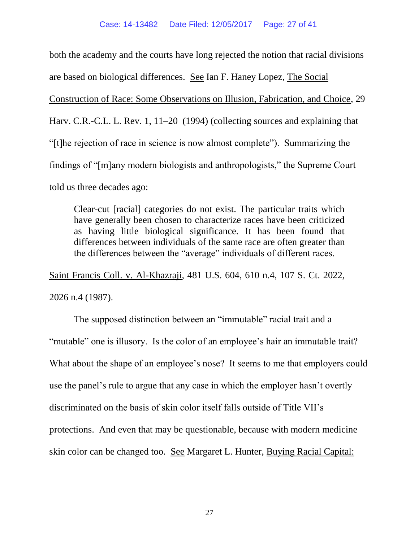both the academy and the courts have long rejected the notion that racial divisions are based on biological differences. See Ian F. Haney Lopez, The Social Construction of Race: Some Observations on Illusion, Fabrication, and Choice, 29 Harv. C.R.-C.L. L. Rev. 1, 11–20 (1994) (collecting sources and explaining that "[t]he rejection of race in science is now almost complete"). Summarizing the findings of "[m]any modern biologists and anthropologists," the Supreme Court told us three decades ago:

Clear-cut [racial] categories do not exist. The particular traits which have generally been chosen to characterize races have been criticized as having little biological significance. It has been found that differences between individuals of the same race are often greater than the differences between the "average" individuals of different races.

Saint Francis Coll. v. Al-Khazraji, 481 U.S. 604, 610 n.4, 107 S. Ct. 2022,

2026 n.4 (1987).

The supposed distinction between an "immutable" racial trait and a "mutable" one is illusory. Is the color of an employee's hair an immutable trait? What about the shape of an employee's nose? It seems to me that employers could use the panel's rule to argue that any case in which the employer hasn't overtly discriminated on the basis of skin color itself falls outside of Title VII's protections. And even that may be questionable, because with modern medicine skin color can be changed too. See Margaret L. Hunter, Buying Racial Capital: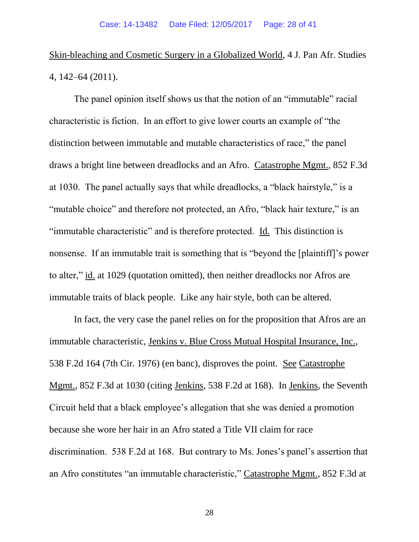# Skin-bleaching and Cosmetic Surgery in a Globalized World, 4 J. Pan Afr. Studies 4, 142–64 (2011).

The panel opinion itself shows us that the notion of an "immutable" racial characteristic is fiction. In an effort to give lower courts an example of "the distinction between immutable and mutable characteristics of race," the panel draws a bright line between dreadlocks and an Afro. Catastrophe Mgmt., 852 F.3d at 1030. The panel actually says that while dreadlocks, a "black hairstyle," is a "mutable choice" and therefore not protected, an Afro, "black hair texture," is an "immutable characteristic" and is therefore protected. Id. This distinction is nonsense. If an immutable trait is something that is "beyond the [plaintiff]'s power to alter," id. at 1029 (quotation omitted), then neither dreadlocks nor Afros are immutable traits of black people. Like any hair style, both can be altered.

In fact, the very case the panel relies on for the proposition that Afros are an immutable characteristic, Jenkins v. Blue Cross Mutual Hospital Insurance, Inc., 538 F.2d 164 (7th Cir. 1976) (en banc), disproves the point. See Catastrophe Mgmt., 852 F.3d at 1030 (citing Jenkins, 538 F.2d at 168). In Jenkins, the Seventh Circuit held that a black employee's allegation that she was denied a promotion because she wore her hair in an Afro stated a Title VII claim for race discrimination. 538 F.2d at 168. But contrary to Ms. Jones's panel's assertion that an Afro constitutes "an immutable characteristic," Catastrophe Mgmt., 852 F.3d at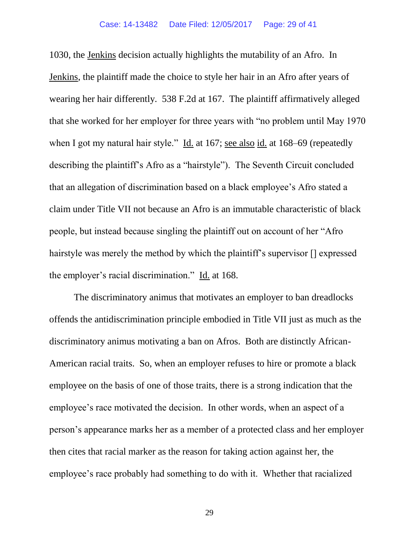1030, the Jenkins decision actually highlights the mutability of an Afro. In Jenkins, the plaintiff made the choice to style her hair in an Afro after years of wearing her hair differently. 538 F.2d at 167. The plaintiff affirmatively alleged that she worked for her employer for three years with "no problem until May 1970 when I got my natural hair style." Id. at 167; see also id. at 168–69 (repeatedly describing the plaintiff's Afro as a "hairstyle"). The Seventh Circuit concluded that an allegation of discrimination based on a black employee's Afro stated a claim under Title VII not because an Afro is an immutable characteristic of black people, but instead because singling the plaintiff out on account of her "Afro hairstyle was merely the method by which the plaintiff's supervisor [] expressed the employer's racial discrimination." Id. at 168.

The discriminatory animus that motivates an employer to ban dreadlocks offends the antidiscrimination principle embodied in Title VII just as much as the discriminatory animus motivating a ban on Afros. Both are distinctly African-American racial traits. So, when an employer refuses to hire or promote a black employee on the basis of one of those traits, there is a strong indication that the employee's race motivated the decision. In other words, when an aspect of a person's appearance marks her as a member of a protected class and her employer then cites that racial marker as the reason for taking action against her, the employee's race probably had something to do with it. Whether that racialized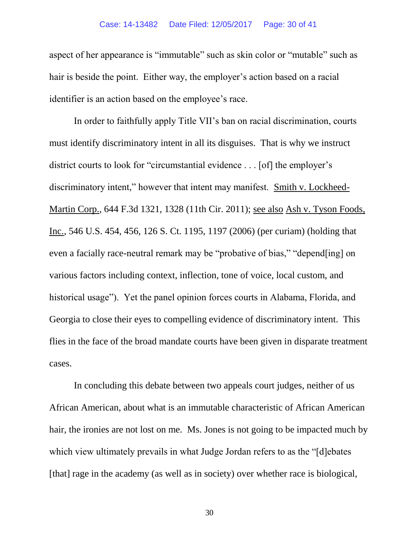#### Case: 14-13482 Date Filed: 12/05/2017 Page: 30 of 41

aspect of her appearance is "immutable" such as skin color or "mutable" such as hair is beside the point. Either way, the employer's action based on a racial identifier is an action based on the employee's race.

In order to faithfully apply Title VII's ban on racial discrimination, courts must identify discriminatory intent in all its disguises. That is why we instruct district courts to look for "circumstantial evidence . . . [of] the employer's discriminatory intent," however that intent may manifest. Smith v. Lockheed-Martin Corp., 644 F.3d 1321, 1328 (11th Cir. 2011); see also Ash v. Tyson Foods, Inc., 546 U.S. 454, 456, 126 S. Ct. 1195, 1197 (2006) (per curiam) (holding that even a facially race-neutral remark may be "probative of bias," "depend[ing] on various factors including context, inflection, tone of voice, local custom, and historical usage"). Yet the panel opinion forces courts in Alabama, Florida, and Georgia to close their eyes to compelling evidence of discriminatory intent. This flies in the face of the broad mandate courts have been given in disparate treatment cases.

In concluding this debate between two appeals court judges, neither of us African American, about what is an immutable characteristic of African American hair, the ironies are not lost on me. Ms. Jones is not going to be impacted much by which view ultimately prevails in what Judge Jordan refers to as the "[d]ebates [that] rage in the academy (as well as in society) over whether race is biological,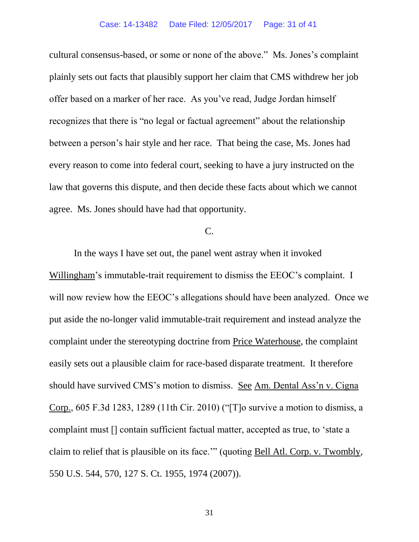cultural consensus-based, or some or none of the above." Ms. Jones's complaint plainly sets out facts that plausibly support her claim that CMS withdrew her job offer based on a marker of her race. As you've read, Judge Jordan himself recognizes that there is "no legal or factual agreement" about the relationship between a person's hair style and her race. That being the case, Ms. Jones had every reason to come into federal court, seeking to have a jury instructed on the law that governs this dispute, and then decide these facts about which we cannot agree. Ms. Jones should have had that opportunity.

# C.

In the ways I have set out, the panel went astray when it invoked Willingham's immutable-trait requirement to dismiss the EEOC's complaint. I will now review how the EEOC's allegations should have been analyzed. Once we put aside the no-longer valid immutable-trait requirement and instead analyze the complaint under the stereotyping doctrine from Price Waterhouse, the complaint easily sets out a plausible claim for race-based disparate treatment. It therefore should have survived CMS's motion to dismiss. See Am. Dental Ass'n v. Cigna Corp., 605 F.3d 1283, 1289 (11th Cir. 2010) ("[T]o survive a motion to dismiss, a complaint must [] contain sufficient factual matter, accepted as true, to 'state a claim to relief that is plausible on its face.'" (quoting Bell Atl. Corp. v. Twombly, 550 U.S. 544, 570, 127 S. Ct. 1955, 1974 (2007)).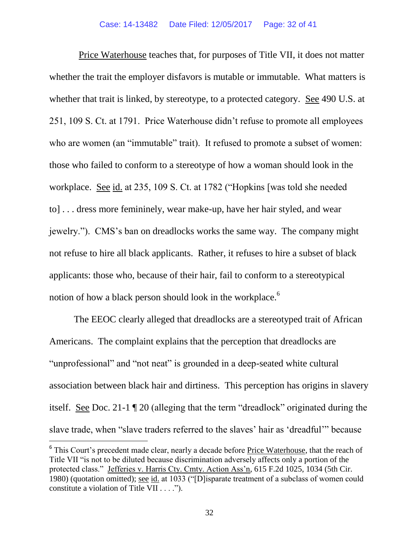Price Waterhouse teaches that, for purposes of Title VII, it does not matter whether the trait the employer disfavors is mutable or immutable. What matters is whether that trait is linked, by stereotype, to a protected category. See 490 U.S. at 251, 109 S. Ct. at 1791. Price Waterhouse didn't refuse to promote all employees who are women (an "immutable" trait). It refused to promote a subset of women: those who failed to conform to a stereotype of how a woman should look in the workplace. <u>See id.</u> at 235, 109 S. Ct. at 1782 ("Hopkins [was told she needed to] . . . dress more femininely, wear make-up, have her hair styled, and wear jewelry."). CMS's ban on dreadlocks works the same way. The company might not refuse to hire all black applicants. Rather, it refuses to hire a subset of black applicants: those who, because of their hair, fail to conform to a stereotypical notion of how a black person should look in the workplace.<sup>6</sup>

The EEOC clearly alleged that dreadlocks are a stereotyped trait of African Americans. The complaint explains that the perception that dreadlocks are "unprofessional" and "not neat" is grounded in a deep-seated white cultural association between black hair and dirtiness. This perception has origins in slavery itself. See Doc. 21-1 ¶ 20 (alleging that the term "dreadlock" originated during the slave trade, when "slave traders referred to the slaves' hair as 'dreadful'" because

 $\overline{a}$ 

<sup>&</sup>lt;sup>6</sup> This Court's precedent made clear, nearly a decade before Price Waterhouse, that the reach of Title VII "is not to be diluted because discrimination adversely affects only a portion of the protected class." Jefferies v. Harris Cty. Cmty. Action Ass'n, 615 F.2d 1025, 1034 (5th Cir. 1980) (quotation omitted); see id. at 1033 ("[D]isparate treatment of a subclass of women could constitute a violation of Title VII . . . .").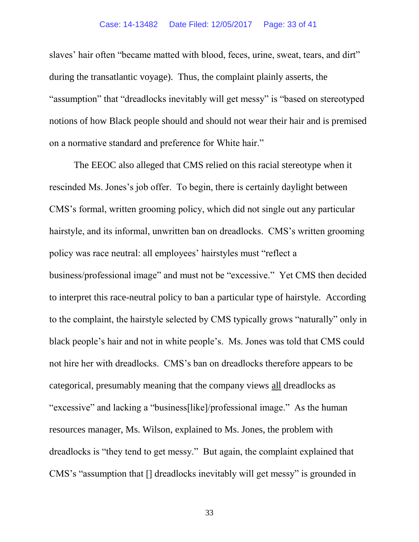slaves' hair often "became matted with blood, feces, urine, sweat, tears, and dirt" during the transatlantic voyage). Thus, the complaint plainly asserts, the "assumption" that "dreadlocks inevitably will get messy" is "based on stereotyped notions of how Black people should and should not wear their hair and is premised on a normative standard and preference for White hair."

The EEOC also alleged that CMS relied on this racial stereotype when it rescinded Ms. Jones's job offer. To begin, there is certainly daylight between CMS's formal, written grooming policy, which did not single out any particular hairstyle, and its informal, unwritten ban on dreadlocks. CMS's written grooming policy was race neutral: all employees' hairstyles must "reflect a business/professional image" and must not be "excessive." Yet CMS then decided to interpret this race-neutral policy to ban a particular type of hairstyle. According to the complaint, the hairstyle selected by CMS typically grows "naturally" only in black people's hair and not in white people's. Ms. Jones was told that CMS could not hire her with dreadlocks. CMS's ban on dreadlocks therefore appears to be categorical, presumably meaning that the company views all dreadlocks as "excessive" and lacking a "business[like]/professional image." As the human resources manager, Ms. Wilson, explained to Ms. Jones, the problem with dreadlocks is "they tend to get messy." But again, the complaint explained that CMS's "assumption that [] dreadlocks inevitably will get messy" is grounded in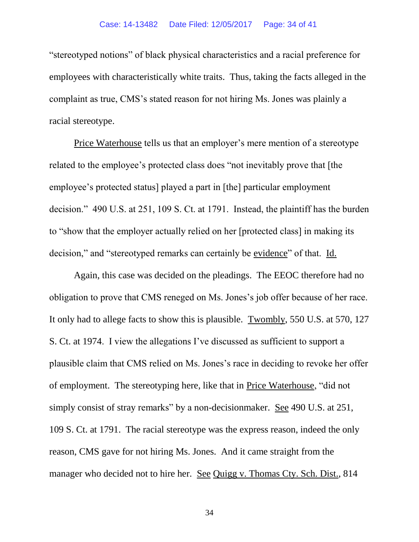"stereotyped notions" of black physical characteristics and a racial preference for employees with characteristically white traits. Thus, taking the facts alleged in the complaint as true, CMS's stated reason for not hiring Ms. Jones was plainly a racial stereotype.

Price Waterhouse tells us that an employer's mere mention of a stereotype related to the employee's protected class does "not inevitably prove that [the employee's protected status] played a part in [the] particular employment decision." 490 U.S. at 251, 109 S. Ct. at 1791. Instead, the plaintiff has the burden to "show that the employer actually relied on her [protected class] in making its decision," and "stereotyped remarks can certainly be evidence" of that. Id.

Again, this case was decided on the pleadings. The EEOC therefore had no obligation to prove that CMS reneged on Ms. Jones's job offer because of her race. It only had to allege facts to show this is plausible. Twombly, 550 U.S. at 570, 127 S. Ct. at 1974. I view the allegations I've discussed as sufficient to support a plausible claim that CMS relied on Ms. Jones's race in deciding to revoke her offer of employment. The stereotyping here, like that in Price Waterhouse, "did not simply consist of stray remarks" by a non-decisionmaker. See 490 U.S. at 251, 109 S. Ct. at 1791. The racial stereotype was the express reason, indeed the only reason, CMS gave for not hiring Ms. Jones. And it came straight from the manager who decided not to hire her. See Quigg v. Thomas Cty. Sch. Dist., 814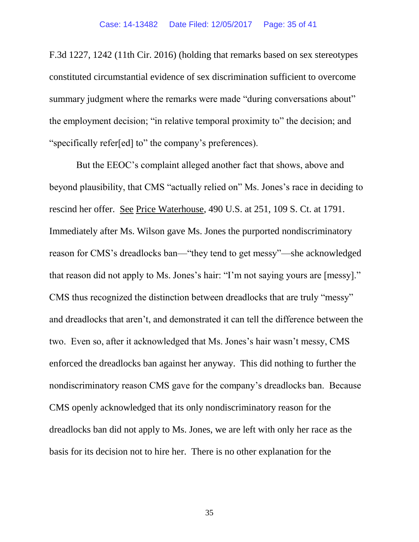F.3d 1227, 1242 (11th Cir. 2016) (holding that remarks based on sex stereotypes constituted circumstantial evidence of sex discrimination sufficient to overcome summary judgment where the remarks were made "during conversations about" the employment decision; "in relative temporal proximity to" the decision; and "specifically refer[ed] to" the company's preferences).

But the EEOC's complaint alleged another fact that shows, above and beyond plausibility, that CMS "actually relied on" Ms. Jones's race in deciding to rescind her offer. See Price Waterhouse, 490 U.S. at 251, 109 S. Ct. at 1791. Immediately after Ms. Wilson gave Ms. Jones the purported nondiscriminatory reason for CMS's dreadlocks ban—"they tend to get messy"—she acknowledged that reason did not apply to Ms. Jones's hair: "I'm not saying yours are [messy]." CMS thus recognized the distinction between dreadlocks that are truly "messy" and dreadlocks that aren't, and demonstrated it can tell the difference between the two. Even so, after it acknowledged that Ms. Jones's hair wasn't messy, CMS enforced the dreadlocks ban against her anyway. This did nothing to further the nondiscriminatory reason CMS gave for the company's dreadlocks ban. Because CMS openly acknowledged that its only nondiscriminatory reason for the dreadlocks ban did not apply to Ms. Jones, we are left with only her race as the basis for its decision not to hire her. There is no other explanation for the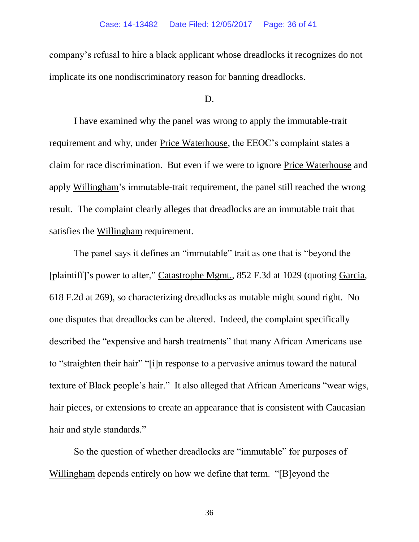company's refusal to hire a black applicant whose dreadlocks it recognizes do not implicate its one nondiscriminatory reason for banning dreadlocks.

#### D.

I have examined why the panel was wrong to apply the immutable-trait requirement and why, under Price Waterhouse, the EEOC's complaint states a claim for race discrimination. But even if we were to ignore Price Waterhouse and apply Willingham's immutable-trait requirement, the panel still reached the wrong result. The complaint clearly alleges that dreadlocks are an immutable trait that satisfies the Willingham requirement.

The panel says it defines an "immutable" trait as one that is "beyond the [plaintiff]'s power to alter," Catastrophe Mgmt., 852 F.3d at 1029 (quoting Garcia, 618 F.2d at 269), so characterizing dreadlocks as mutable might sound right. No one disputes that dreadlocks can be altered. Indeed, the complaint specifically described the "expensive and harsh treatments" that many African Americans use to "straighten their hair" "[i]n response to a pervasive animus toward the natural texture of Black people's hair." It also alleged that African Americans "wear wigs, hair pieces, or extensions to create an appearance that is consistent with Caucasian hair and style standards."

So the question of whether dreadlocks are "immutable" for purposes of Willingham depends entirely on how we define that term. "[B]eyond the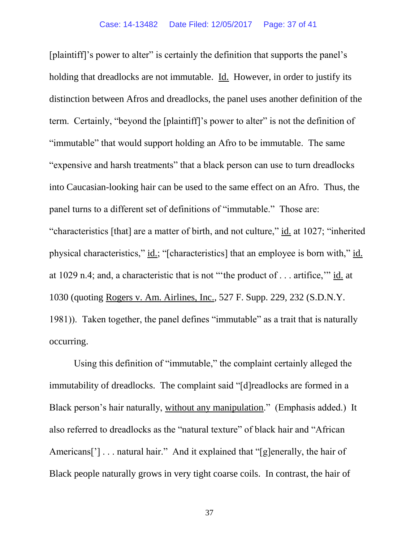[plaintiff]'s power to alter" is certainly the definition that supports the panel's holding that dreadlocks are not immutable. Id. However, in order to justify its distinction between Afros and dreadlocks, the panel uses another definition of the term. Certainly, "beyond the [plaintiff]'s power to alter" is not the definition of "immutable" that would support holding an Afro to be immutable. The same "expensive and harsh treatments" that a black person can use to turn dreadlocks into Caucasian-looking hair can be used to the same effect on an Afro. Thus, the panel turns to a different set of definitions of "immutable." Those are: "characteristics [that] are a matter of birth, and not culture," id. at 1027; "inherited physical characteristics," id.; "[characteristics] that an employee is born with," id. at 1029 n.4; and, a characteristic that is not "'the product of . . . artifice,'" id. at 1030 (quoting Rogers v. Am. Airlines, Inc., 527 F. Supp. 229, 232 (S.D.N.Y. 1981)). Taken together, the panel defines "immutable" as a trait that is naturally occurring.

Using this definition of "immutable," the complaint certainly alleged the immutability of dreadlocks. The complaint said "[d]readlocks are formed in a Black person's hair naturally, without any manipulation." (Emphasis added.)It also referred to dreadlocks as the "natural texture" of black hair and "African Americans['] . . . natural hair." And it explained that "[g]enerally, the hair of Black people naturally grows in very tight coarse coils. In contrast, the hair of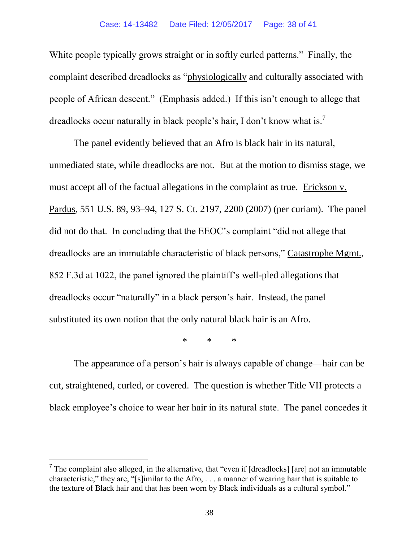White people typically grows straight or in softly curled patterns." Finally, the complaint described dreadlocks as "physiologically and culturally associated with people of African descent." (Emphasis added.) If this isn't enough to allege that dreadlocks occur naturally in black people's hair, I don't know what is.<sup>7</sup>

The panel evidently believed that an Afro is black hair in its natural, unmediated state, while dreadlocks are not. But at the motion to dismiss stage, we must accept all of the factual allegations in the complaint as true. Erickson v. Pardus, 551 U.S. 89, 93–94, 127 S. Ct. 2197, 2200 (2007) (per curiam). The panel did not do that. In concluding that the EEOC's complaint "did not allege that dreadlocks are an immutable characteristic of black persons," Catastrophe Mgmt., 852 F.3d at 1022, the panel ignored the plaintiff's well-pled allegations that dreadlocks occur "naturally" in a black person's hair. Instead, the panel substituted its own notion that the only natural black hair is an Afro.

\* \* \*

The appearance of a person's hair is always capable of change—hair can be cut, straightened, curled, or covered. The question is whether Title VII protects a black employee's choice to wear her hair in its natural state. The panel concedes it

 $\overline{a}$ 

<sup>&</sup>lt;sup>7</sup> The complaint also alleged, in the alternative, that "even if [dreadlocks] [are] not an immutable characteristic," they are, "[s]imilar to the Afro, . . . a manner of wearing hair that is suitable to the texture of Black hair and that has been worn by Black individuals as a cultural symbol."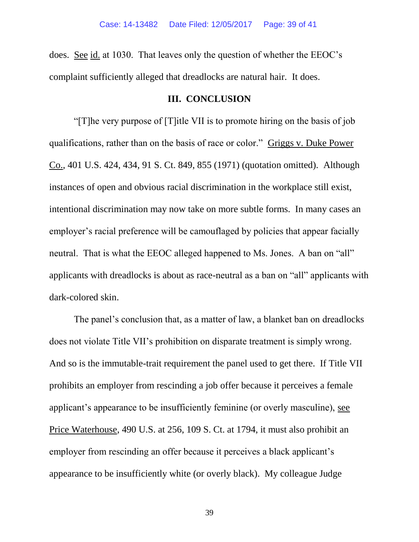does. See id. at 1030. That leaves only the question of whether the EEOC's complaint sufficiently alleged that dreadlocks are natural hair. It does.

## **III. CONCLUSION**

"[T]he very purpose of [T]itle VII is to promote hiring on the basis of job qualifications, rather than on the basis of race or color." Griggs v. Duke Power Co., 401 U.S. 424, 434, 91 S. Ct. 849, 855 (1971) (quotation omitted). Although instances of open and obvious racial discrimination in the workplace still exist, intentional discrimination may now take on more subtle forms. In many cases an employer's racial preference will be camouflaged by policies that appear facially neutral. That is what the EEOC alleged happened to Ms. Jones. A ban on "all" applicants with dreadlocks is about as race-neutral as a ban on "all" applicants with dark-colored skin.

The panel's conclusion that, as a matter of law, a blanket ban on dreadlocks does not violate Title VII's prohibition on disparate treatment is simply wrong. And so is the immutable-trait requirement the panel used to get there. If Title VII prohibits an employer from rescinding a job offer because it perceives a female applicant's appearance to be insufficiently feminine (or overly masculine), see Price Waterhouse, 490 U.S. at 256, 109 S. Ct. at 1794, it must also prohibit an employer from rescinding an offer because it perceives a black applicant's appearance to be insufficiently white (or overly black). My colleague Judge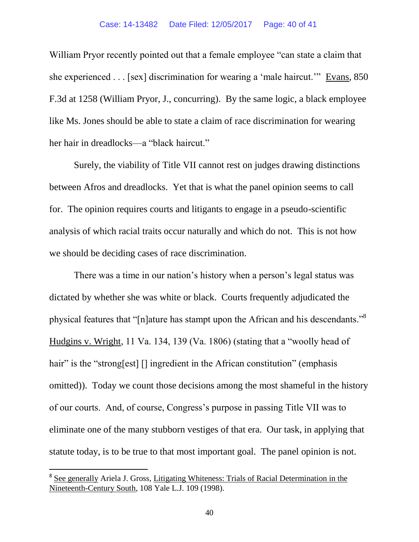William Pryor recently pointed out that a female employee "can state a claim that she experienced . . . [sex] discrimination for wearing a 'male haircut.'" Evans, 850 F.3d at 1258 (William Pryor, J., concurring). By the same logic, a black employee like Ms. Jones should be able to state a claim of race discrimination for wearing her hair in dreadlocks—a "black haircut."

Surely, the viability of Title VII cannot rest on judges drawing distinctions between Afros and dreadlocks. Yet that is what the panel opinion seems to call for. The opinion requires courts and litigants to engage in a pseudo-scientific analysis of which racial traits occur naturally and which do not. This is not how we should be deciding cases of race discrimination.

There was a time in our nation's history when a person's legal status was dictated by whether she was white or black. Courts frequently adjudicated the physical features that "[n]ature has stampt upon the African and his descendants."<sup>8</sup> Hudgins v. Wright, 11 Va. 134, 139 (Va. 1806) (stating that a "woolly head of hair" is the "strong[est] [] ingredient in the African constitution" (emphasis omitted)). Today we count those decisions among the most shameful in the history of our courts. And, of course, Congress's purpose in passing Title VII was to eliminate one of the many stubborn vestiges of that era. Our task, in applying that statute today, is to be true to that most important goal. The panel opinion is not.

 $\overline{a}$ 

<sup>&</sup>lt;sup>8</sup> See generally Ariela J. Gross, Litigating Whiteness: Trials of Racial Determination in the Nineteenth-Century South, 108 Yale L.J. 109 (1998).